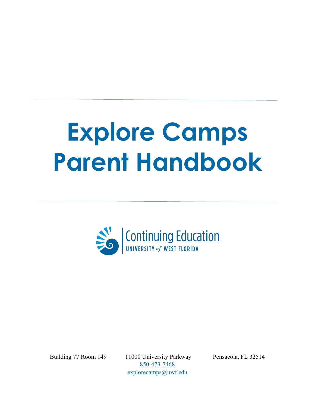# **Explore Camps Parent Handbook**



Building 77 Room 149 11000 University Parkway Pensacola, FL 32514 850-473-7468 explorecamps@uwf.edu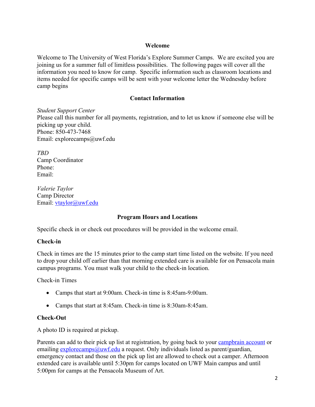#### **Welcome**

Welcome to The University of West Florida's Explore Summer Camps. We are excited you are joining us for a summer full of limitless possibilities. The following pages will cover all the information you need to know for camp. Specific information such as classroom locations and items needed for specific camps will be sent with your welcome letter the Wednesday before camp begins

## **Contact Information**

*Student Support Center* Please call this number for all payments, registration, and to let us know if someone else will be picking up your child. Phone: 850-473-7468 Email: explorecamps@uwf.edu

*TBD* Camp Coordinator Phone: Email:

*Valerie Taylor* Camp Director Email: vtaylor@uwf.edu

## **Program Hours and Locations**

Specific check in or check out procedures will be provided in the welcome email.

# **Check-in**

Check in times are the 15 minutes prior to the camp start time listed on the website. If you need to drop your child off earlier than that morning extended care is available for on Pensacola main campus programs. You must walk your child to the check-in location.

Check-in Times

- Camps that start at 9:00am. Check-in time is 8:45am-9:00am.
- Camps that start at 8:45am. Check-in time is 8:30am-8:45am.

# **Check-Out**

A photo ID is required at pickup.

Parents can add to their pick up list at registration, by going back to your campbrain account or emailing explorecamps@uwf.edu a request. Only individuals listed as parent/guardian, emergency contact and those on the pick up list are allowed to check out a camper. Afternoon extended care is available until 5:30pm for camps located on UWF Main campus and until 5:00pm for camps at the Pensacola Museum of Art.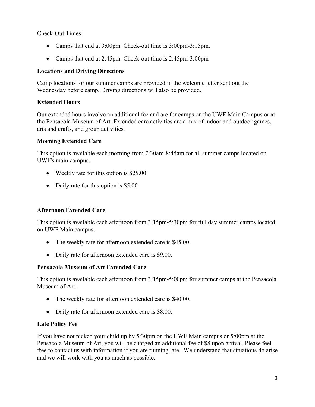## Check-Out Times

- Camps that end at 3:00pm. Check-out time is 3:00pm-3:15pm.
- Camps that end at 2:45pm. Check-out time is 2:45pm-3:00pm

## **Locations and Driving Directions**

Camp locations for our summer camps are provided in the welcome letter sent out the Wednesday before camp. Driving directions will also be provided.

## **Extended Hours**

Our extended hours involve an additional fee and are for camps on the UWF Main Campus or at the Pensacola Museum of Art. Extended care activities are a mix of indoor and outdoor games, arts and crafts, and group activities.

## **Morning Extended Care**

This option is available each morning from 7:30am-8:45am for all summer camps located on UWF's main campus.

- Weekly rate for this option is \$25.00
- Daily rate for this option is \$5.00

# **Afternoon Extended Care**

This option is available each afternoon from 3:15pm-5:30pm for full day summer camps located on UWF Main campus.

- The weekly rate for afternoon extended care is \$45.00.
- Daily rate for afternoon extended care is \$9.00.

## **Pensacola Museum of Art Extended Care**

This option is available each afternoon from 3:15pm-5:00pm for summer camps at the Pensacola Museum of Art.

- The weekly rate for afternoon extended care is \$40.00.
- Daily rate for afternoon extended care is \$8.00.

# **Late Policy Fee**

If you have not picked your child up by 5:30pm on the UWF Main campus or 5:00pm at the Pensacola Museum of Art, you will be charged an additional fee of \$8 upon arrival. Please feel free to contact us with information if you are running late. We understand that situations do arise and we will work with you as much as possible.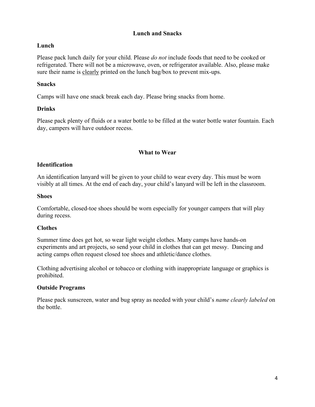## **Lunch and Snacks**

## **Lunch**

Please pack lunch daily for your child. Please *do not* include foods that need to be cooked or refrigerated. There will not be a microwave, oven, or refrigerator available. Also, please make sure their name is clearly printed on the lunch bag/box to prevent mix-ups.

## **Snacks**

Camps will have one snack break each day. Please bring snacks from home.

## **Drinks**

Please pack plenty of fluids or a water bottle to be filled at the water bottle water fountain. Each day, campers will have outdoor recess.

## **What to Wear**

## **Identification**

An identification lanyard will be given to your child to wear every day. This must be worn visibly at all times. At the end of each day, your child's lanyard will be left in the classroom.

#### **Shoes**

Comfortable, closed-toe shoes should be worn especially for younger campers that will play during recess.

## **Clothes**

Summer time does get hot, so wear light weight clothes. Many camps have hands-on experiments and art projects, so send your child in clothes that can get messy. Dancing and acting camps often request closed toe shoes and athletic/dance clothes.

Clothing advertising alcohol or tobacco or clothing with inappropriate language or graphics is prohibited.

## **Outside Programs**

Please pack sunscreen, water and bug spray as needed with your child's *name clearly labeled* on the bottle.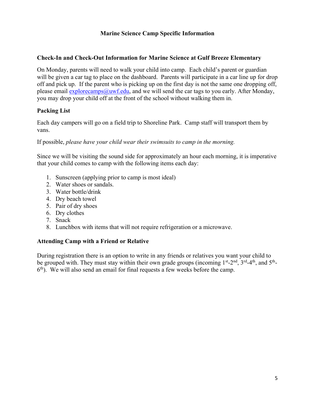## **Marine Science Camp Specific Information**

#### **Check-In and Check-Out Information for Marine Science at Gulf Breeze Elementary**

On Monday, parents will need to walk your child into camp. Each child's parent or guardian will be given a car tag to place on the dashboard. Parents will participate in a car line up for drop off and pick up. If the parent who is picking up on the first day is not the same one dropping off, please email  $explorecamps@uwf.edu$ , and we will send the car tags to you early. After Monday, you may drop your child off at the front of the school without walking them in.

## **Packing List**

Each day campers will go on a field trip to Shoreline Park. Camp staff will transport them by vans.

If possible, *please have your child wear their swimsuits to camp in the morning.*

Since we will be visiting the sound side for approximately an hour each morning, it is imperative that your child comes to camp with the following items each day:

- 1. Sunscreen (applying prior to camp is most ideal)
- 2. Water shoes or sandals.
- 3. Water bottle/drink
- 4. Dry beach towel
- 5. Pair of dry shoes
- 6. Dry clothes
- 7. Snack
- 8. Lunchbox with items that will not require refrigeration or a microwave.

## **Attending Camp with a Friend or Relative**

During registration there is an option to write in any friends or relatives you want your child to be grouped with. They must stay within their own grade groups (incoming 1<sup>st</sup>-2<sup>nd</sup>, 3<sup>rd</sup>-4<sup>th</sup>, and 5<sup>th</sup>- $6<sup>th</sup>$ ). We will also send an email for final requests a few weeks before the camp.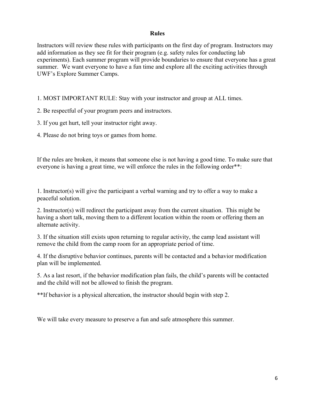#### **Rules**

Instructors will review these rules with participants on the first day of program. Instructors may add information as they see fit for their program (e.g. safety rules for conducting lab experiments). Each summer program will provide boundaries to ensure that everyone has a great summer. We want everyone to have a fun time and explore all the exciting activities through UWF's Explore Summer Camps.

1. MOST IMPORTANT RULE: Stay with your instructor and group at ALL times.

2. Be respectful of your program peers and instructors.

3. If you get hurt, tell your instructor right away.

4. Please do not bring toys or games from home.

If the rules are broken, it means that someone else is not having a good time. To make sure that everyone is having a great time, we will enforce the rules in the following order\*\*:

1. Instructor(s) will give the participant a verbal warning and try to offer a way to make a peaceful solution.

2. Instructor(s) will redirect the participant away from the current situation. This might be having a short talk, moving them to a different location within the room or offering them an alternate activity.

3. If the situation still exists upon returning to regular activity, the camp lead assistant will remove the child from the camp room for an appropriate period of time.

4. If the disruptive behavior continues, parents will be contacted and a behavior modification plan will be implemented.

5. As a last resort, if the behavior modification plan fails, the child's parents will be contacted and the child will not be allowed to finish the program.

\*\*If behavior is a physical altercation, the instructor should begin with step 2.

We will take every measure to preserve a fun and safe atmosphere this summer.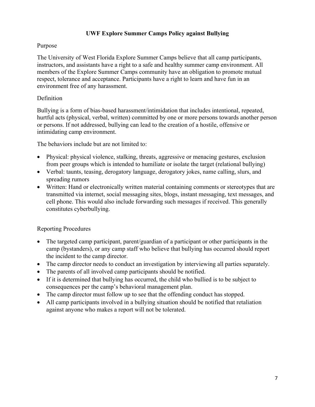## **UWF Explore Summer Camps Policy against Bullying**

#### Purpose

The University of West Florida Explore Summer Camps believe that all camp participants, instructors, and assistants have a right to a safe and healthy summer camp environment. All members of the Explore Summer Camps community have an obligation to promote mutual respect, tolerance and acceptance. Participants have a right to learn and have fun in an environment free of any harassment.

#### Definition

Bullying is a form of bias-based harassment/intimidation that includes intentional, repeated, hurtful acts (physical, verbal, written) committed by one or more persons towards another person or persons. If not addressed, bullying can lead to the creation of a hostile, offensive or intimidating camp environment.

The behaviors include but are not limited to:

- Physical: physical violence, stalking, threats, aggressive or menacing gestures, exclusion from peer groups which is intended to humiliate or isolate the target (relational bullying)
- Verbal: taunts, teasing, derogatory language, derogatory jokes, name calling, slurs, and spreading rumors
- Written: Hand or electronically written material containing comments or stereotypes that are transmitted via internet, social messaging sites, blogs, instant messaging, text messages, and cell phone. This would also include forwarding such messages if received. This generally constitutes cyberbullying.

## Reporting Procedures

- The targeted camp participant, parent/guardian of a participant or other participants in the camp (bystanders), or any camp staff who believe that bullying has occurred should report the incident to the camp director.
- The camp director needs to conduct an investigation by interviewing all parties separately.
- The parents of all involved camp participants should be notified.
- If it is determined that bullying has occurred, the child who bullied is to be subject to consequences per the camp's behavioral management plan.
- The camp director must follow up to see that the offending conduct has stopped.
- All camp participants involved in a bullying situation should be notified that retaliation against anyone who makes a report will not be tolerated.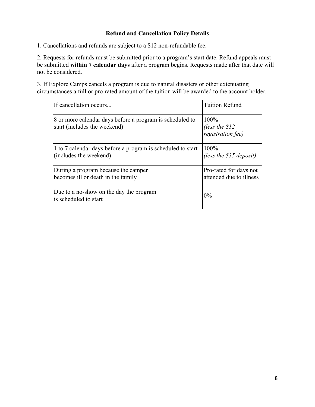## **Refund and Cancellation Policy Details**

1. Cancellations and refunds are subject to a \$12 non-refundable fee.

2. Requests for refunds must be submitted prior to a program's start date. Refund appeals must be submitted **within 7 calendar days** after a program begins. Requests made after that date will not be considered.

3. If Explore Camps cancels a program is due to natural disasters or other extenuating circumstances a full or pro-rated amount of the tuition will be awarded to the account holder.

| If cancellation occurs                                                                   | <b>Tuition Refund</b>                             |
|------------------------------------------------------------------------------------------|---------------------------------------------------|
| 8 or more calendar days before a program is scheduled to<br>start (includes the weekend) | $100\%$<br>(less the $$12$<br>registration fee)   |
| 1 to 7 calendar days before a program is scheduled to start<br>(includes the weekend)    | $100\%$<br>(less the $$35$ deposit)               |
| During a program because the camper<br>becomes ill or death in the family                | Pro-rated for days not<br>attended due to illness |
| Due to a no-show on the day the program<br>is scheduled to start                         | $0\%$                                             |